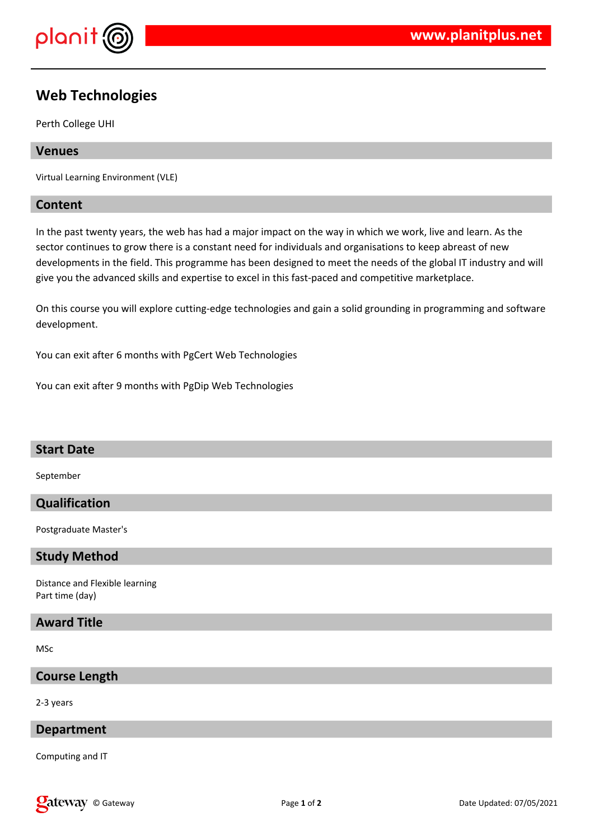

# **Web Technologies**

Perth College UHI

## **Venues**

Virtual Learning Environment (VLE)

## **Content**

In the past twenty years, the web has had a major impact on the way in which we work, live and learn. As the sector continues to grow there is a constant need for individuals and organisations to keep abreast of new developments in the field. This programme has been designed to meet the needs of the global IT industry and will give you the advanced skills and expertise to excel in this fast-paced and competitive marketplace.

On this course you will explore cutting-edge technologies and gain a solid grounding in programming and software development.

You can exit after 6 months with PgCert Web Technologies

You can exit after 9 months with PgDip Web Technologies

#### **Start Date**

September

# **Qualification**

Postgraduate Master's

#### **Study Method**

Distance and Flexible learning Part time (day)

#### **Award Title**

MSc

## **Course Length**

2-3 years

## **Department**

Computing and IT